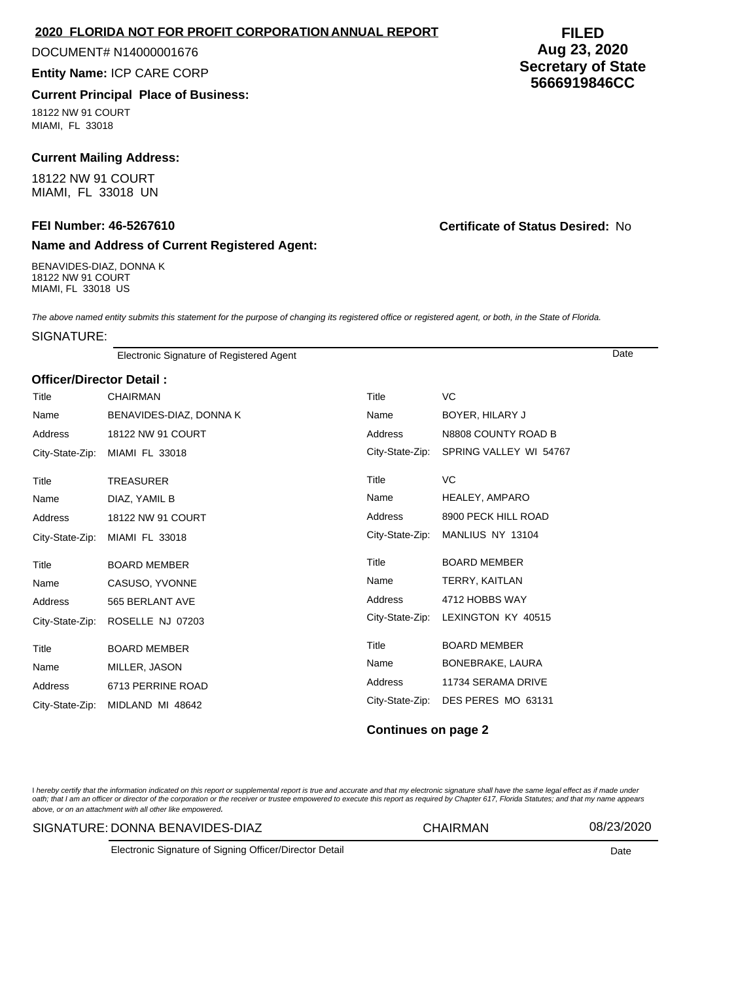# **2020 FLORIDA NOT FOR PROFIT CORPORATION ANNUAL REPORT**

#### DOCUMENT# N14000001676

#### **Entity Name:** ICP CARE CORP

# **Current Principal Place of Business:**

18122 NW 91 COURT MIAMI, FL 33018

# **Current Mailing Address:**

18122 NW 91 COURT MIAMI, FL 33018 UN

### **Name and Address of Current Registered Agent:**

BENAVIDES-DIAZ, DONNA K 18122 NW 91 COURT MIAMI, FL 33018 US

### **FEI Number: 46-5267610 Certificate of Status Desired:** No

The above named entity submits this statement for the purpose of changing its registered office or registered agent, or both, in the State of Florida.

#### SIGNATURE:

Electronic Signature of Registered Agent Date

#### **Officer/Director Detail :**

| Title           | <b>CHAIRMAN</b>         | Title           | VC                     |
|-----------------|-------------------------|-----------------|------------------------|
| Name            | BENAVIDES-DIAZ, DONNA K | Name            | BOYER, HILARY J        |
| Address         | 18122 NW 91 COURT       | Address         | N8808 COUNTY ROAD B    |
| City-State-Zip: | MIAMI FL 33018          | City-State-Zip: | SPRING VALLEY WI 54767 |
| Title           | <b>TREASURER</b>        | Title           | VC.                    |
| Name            | DIAZ, YAMIL B           | Name            | HEALEY, AMPARO         |
| Address         | 18122 NW 91 COURT       | Address         | 8900 PECK HILL ROAD    |
| City-State-Zip: | MIAMI FL 33018          | City-State-Zip: | MANLIUS NY 13104       |
|                 |                         |                 |                        |
| Title           | <b>BOARD MEMBER</b>     | Title           | <b>BOARD MEMBER</b>    |
| Name            | CASUSO, YVONNE          | Name            | TERRY, KAITLAN         |
| Address         | 565 BERLANT AVE         | Address         | 4712 HOBBS WAY         |
| City-State-Zip: | ROSELLE NJ 07203        | City-State-Zip: | LEXINGTON KY 40515     |
| Title           | <b>BOARD MEMBER</b>     | Title           | <b>BOARD MEMBER</b>    |
| Name            | MILLER, JASON           | Name            | BONEBRAKE, LAURA       |
| Address         | 6713 PERRINE ROAD       | <b>Address</b>  | 11734 SERAMA DRIVE     |

### **Continues on page 2**

l hereby certify that the information indicated on this report or supplemental report is true and accurate and that my electronic signature shall have the same legal effect as if made under<br>oath; that I am an officer or di above, or on an attachment with all other like empowered.

#### SIGNATURE: DONNA BENAVIDES-DIAZ CHAIRMAN 08/23/2020

Electronic Signature of Signing Officer/Director Detail Date

# **FILED Aug 23, 2020 Secretary of State 5666919846CC**